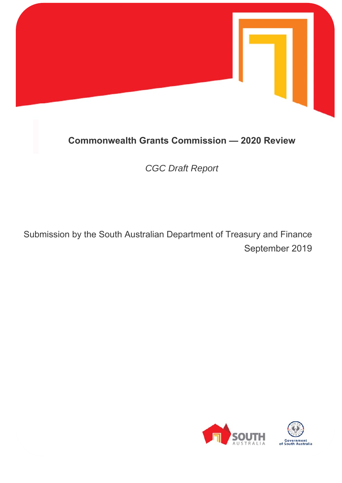

# **Commonwealth Grants Commission — 2020 Review**

*CGC Draft Report* 

Submission by the South Australian Department of Treasury and Finance September 2019

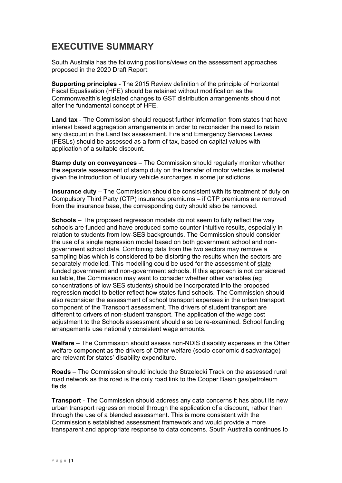# **EXECUTIVE SUMMARY**

South Australia has the following positions/views on the assessment approaches proposed in the 2020 Draft Report:

**Supporting principles** - The 2015 Review definition of the principle of Horizontal Fiscal Equalisation (HFE) should be retained without modification as the Commonwealth's legislated changes to GST distribution arrangements should not alter the fundamental concept of HFE.

**Land tax** - The Commission should request further information from states that have interest based aggregation arrangements in order to reconsider the need to retain any discount in the Land tax assessment. Fire and Emergency Services Levies (FESLs) should be assessed as a form of tax, based on capital values with application of a suitable discount.

**Stamp duty on conveyances** – The Commission should regularly monitor whether the separate assessment of stamp duty on the transfer of motor vehicles is material given the introduction of luxury vehicle surcharges in some jurisdictions.

**Insurance duty** – The Commission should be consistent with its treatment of duty on Compulsory Third Party (CTP) insurance premiums – if CTP premiums are removed from the insurance base, the corresponding duty should also be removed.

**Schools** – The proposed regression models do not seem to fully reflect the way schools are funded and have produced some counter-intuitive results, especially in relation to students from low-SES backgrounds. The Commission should consider the use of a single regression model based on both government school and nongovernment school data. Combining data from the two sectors may remove a sampling bias which is considered to be distorting the results when the sectors are separately modelled. This modelling could be used for the assessment of state funded government and non-government schools. If this approach is not considered suitable, the Commission may want to consider whether other variables (eg concentrations of low SES students) should be incorporated into the proposed regression model to better reflect how states fund schools. The Commission should also reconsider the assessment of school transport expenses in the urban transport component of the Transport assessment. The drivers of student transport are different to drivers of non-student transport. The application of the wage cost adjustment to the Schools assessment should also be re-examined. School funding arrangements use nationally consistent wage amounts.

**Welfare** – The Commission should assess non-NDIS disability expenses in the Other welfare component as the drivers of Other welfare (socio-economic disadvantage) are relevant for states' disability expenditure.

**Roads** – The Commission should include the Strzelecki Track on the assessed rural road network as this road is the only road link to the Cooper Basin gas/petroleum fields.

**Transport** - The Commission should address any data concerns it has about its new urban transport regression model through the application of a discount, rather than through the use of a blended assessment. This is more consistent with the Commission's established assessment framework and would provide a more transparent and appropriate response to data concerns. South Australia continues to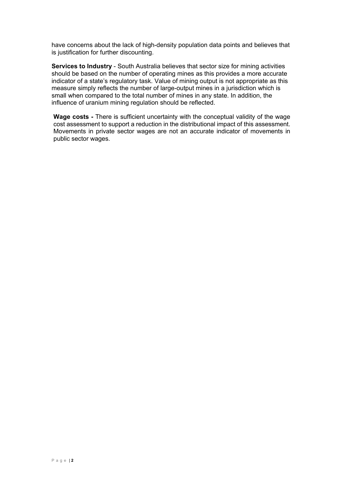have concerns about the lack of high-density population data points and believes that is justification for further discounting.

**Services to Industry** - South Australia believes that sector size for mining activities should be based on the number of operating mines as this provides a more accurate indicator of a state's regulatory task. Value of mining output is not appropriate as this measure simply reflects the number of large-output mines in a jurisdiction which is small when compared to the total number of mines in any state. In addition, the influence of uranium mining regulation should be reflected.

**Wage costs -** There is sufficient uncertainty with the conceptual validity of the wage cost assessment to support a reduction in the distributional impact of this assessment. Movements in private sector wages are not an accurate indicator of movements in public sector wages.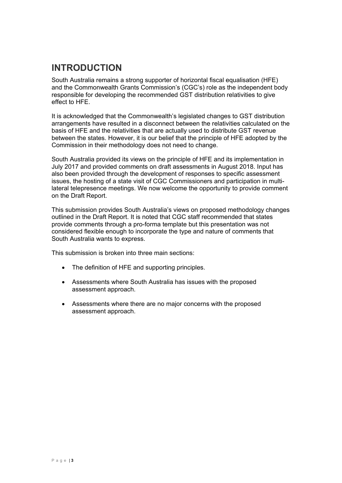# **INTRODUCTION**

South Australia remains a strong supporter of horizontal fiscal equalisation (HFE) and the Commonwealth Grants Commission's (CGC's) role as the independent body responsible for developing the recommended GST distribution relativities to give effect to HFE.

It is acknowledged that the Commonwealth's legislated changes to GST distribution arrangements have resulted in a disconnect between the relativities calculated on the basis of HFE and the relativities that are actually used to distribute GST revenue between the states. However, it is our belief that the principle of HFE adopted by the Commission in their methodology does not need to change.

South Australia provided its views on the principle of HFE and its implementation in July 2017 and provided comments on draft assessments in August 2018. Input has also been provided through the development of responses to specific assessment issues, the hosting of a state visit of CGC Commissioners and participation in multilateral telepresence meetings. We now welcome the opportunity to provide comment on the Draft Report.

This submission provides South Australia's views on proposed methodology changes outlined in the Draft Report. It is noted that CGC staff recommended that states provide comments through a pro-forma template but this presentation was not considered flexible enough to incorporate the type and nature of comments that South Australia wants to express.

This submission is broken into three main sections:

- The definition of HFE and supporting principles.
- Assessments where South Australia has issues with the proposed assessment approach.
- Assessments where there are no major concerns with the proposed assessment approach.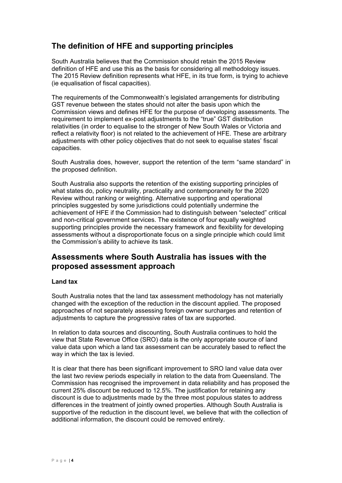# **The definition of HFE and supporting principles**

South Australia believes that the Commission should retain the 2015 Review definition of HFE and use this as the basis for considering all methodology issues. The 2015 Review definition represents what HFE, in its true form, is trying to achieve (ie equalisation of fiscal capacities).

The requirements of the Commonwealth's legislated arrangements for distributing GST revenue between the states should not alter the basis upon which the Commission views and defines HFE for the purpose of developing assessments. The requirement to implement ex-post adjustments to the "true" GST distribution relativities (in order to equalise to the stronger of New South Wales or Victoria and reflect a relativity floor) is not related to the achievement of HFE. These are arbitrary adjustments with other policy objectives that do not seek to equalise states' fiscal capacities.

South Australia does, however, support the retention of the term "same standard" in the proposed definition.

South Australia also supports the retention of the existing supporting principles of what states do, policy neutrality, practicality and contemporaneity for the 2020 Review without ranking or weighting. Alternative supporting and operational principles suggested by some jurisdictions could potentially undermine the achievement of HFE if the Commission had to distinguish between "selected" critical and non-critical government services. The existence of four equally weighted supporting principles provide the necessary framework and flexibility for developing assessments without a disproportionate focus on a single principle which could limit the Commission's ability to achieve its task.

# **Assessments where South Australia has issues with the proposed assessment approach**

## **Land tax**

South Australia notes that the land tax assessment methodology has not materially changed with the exception of the reduction in the discount applied. The proposed approaches of not separately assessing foreign owner surcharges and retention of adjustments to capture the progressive rates of tax are supported.

In relation to data sources and discounting, South Australia continues to hold the view that State Revenue Office (SRO) data is the only appropriate source of land value data upon which a land tax assessment can be accurately based to reflect the way in which the tax is levied.

It is clear that there has been significant improvement to SRO land value data over the last two review periods especially in relation to the data from Queensland. The Commission has recognised the improvement in data reliability and has proposed the current 25% discount be reduced to 12.5%. The justification for retaining any discount is due to adjustments made by the three most populous states to address differences in the treatment of jointly owned properties. Although South Australia is supportive of the reduction in the discount level, we believe that with the collection of additional information, the discount could be removed entirely.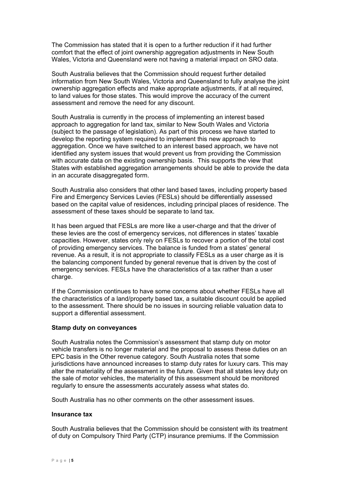The Commission has stated that it is open to a further reduction if it had further comfort that the effect of joint ownership aggregation adjustments in New South Wales, Victoria and Queensland were not having a material impact on SRO data.

South Australia believes that the Commission should request further detailed information from New South Wales, Victoria and Queensland to fully analyse the joint ownership aggregation effects and make appropriate adjustments, if at all required, to land values for those states. This would improve the accuracy of the current assessment and remove the need for any discount.

South Australia is currently in the process of implementing an interest based approach to aggregation for land tax, similar to New South Wales and Victoria (subject to the passage of legislation). As part of this process we have started to develop the reporting system required to implement this new approach to aggregation. Once we have switched to an interest based approach, we have not identified any system issues that would prevent us from providing the Commission with accurate data on the existing ownership basis. This supports the view that States with established aggregation arrangements should be able to provide the data in an accurate disaggregated form.

South Australia also considers that other land based taxes, including property based Fire and Emergency Services Levies (FESLs) should be differentially assessed based on the capital value of residences, including principal places of residence. The assessment of these taxes should be separate to land tax.

It has been argued that FESLs are more like a user-charge and that the driver of these levies are the cost of emergency services, not differences in states' taxable capacities. However, states only rely on FESLs to recover a portion of the total cost of providing emergency services. The balance is funded from a states' general revenue. As a result, it is not appropriate to classify FESLs as a user charge as it is the balancing component funded by general revenue that is driven by the cost of emergency services. FESLs have the characteristics of a tax rather than a user charge.

If the Commission continues to have some concerns about whether FESLs have all the characteristics of a land/property based tax, a suitable discount could be applied to the assessment. There should be no issues in sourcing reliable valuation data to support a differential assessment.

#### **Stamp duty on conveyances**

South Australia notes the Commission's assessment that stamp duty on motor vehicle transfers is no longer material and the proposal to assess these duties on an EPC basis in the Other revenue category. South Australia notes that some jurisdictions have announced increases to stamp duty rates for luxury cars. This may alter the materiality of the assessment in the future. Given that all states levy duty on the sale of motor vehicles, the materiality of this assessment should be monitored regularly to ensure the assessments accurately assess what states do.

South Australia has no other comments on the other assessment issues.

#### **Insurance tax**

South Australia believes that the Commission should be consistent with its treatment of duty on Compulsory Third Party (CTP) insurance premiums. If the Commission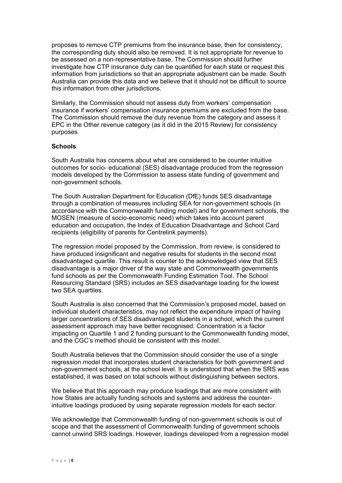proposes to remove CTP premiums from the insurance base, then for consistency, the corresponding duty should also be removed. It is not appropriate for revenue to be assessed on a non-representative base. The Commission should further investigate how CTP insurance duty can be quantified for each state or request this information from jurisdictions so that an appropriate adjustment can be made. South Australia can provide this data and we believe that it should not be difficult to source this information from other jurisdictions.

Similarly, the Commission should not assess duty from workers' compensation insurance if workers' compensation insurance premiums are excluded from the base. The Commission should remove the duty revenue from the category and assess it EPC in the Other revenue category (as it did in the 2015 Review) for consistency purposes.

#### **Schools**

South Australia has concerns about what are considered to be counter intuitive outcomes for socio- educational (SES) disadvantage produced from the regression models developed by the Commission to assess state funding of government and non-government schools.

The South Australian Department for Education (DfE) funds SES disadvantage through a combination of measures including SEA for non-government schools (in accordance with the Commonwealth funding model) and for government schools, the MOSEN (measure of socio-economic need) which takes into account parent education and occupation, the Index of Education Disadvantage and School Card recipients (eligibility of parents for Centrelink payments).

The regression model proposed by the Commission, from review, is considered to have produced insignificant and negative results for students in the second most disadvantaged quartile. This result is counter to the acknowledged view that SES disadvantage is a major driver of the way state and Commonwealth governments fund schools as per the Commonwealth Funding Estimation Tool. The School Resourcing Standard (SRS) includes an SES disadvantage loading for the lowest two SEA quartiles.

South Australia is also concerned that the Commission's proposed model, based on individual student characteristics, may not reflect the expenditure impact of having larger concentrations of SES disadvantaged students in a school, which the current assessment approach may have better recognised. Concentration is a factor impacting on Quartile 1 and 2 funding pursuant to the Commonwealth funding model, and the CGC's method should be consistent with this model.

South Australia believes that the Commission should consider the use of a single regression model that incorporates student characteristics for both government and non-government schools, at the school level. It is understood that when the SRS was established, it was based on total schools without distinguishing between sectors.

We believe that this approach may produce loadings that are more consistent with how States are actually funding schools and systems and address the counterintuitive loadings produced by using separate regression models for each sector.

We acknowledge that Commonwealth funding of non-government schools is out of scope and that the assessment of Commonwealth funding of government schools cannot unwind SRS loadings. However, loadings developed from a regression model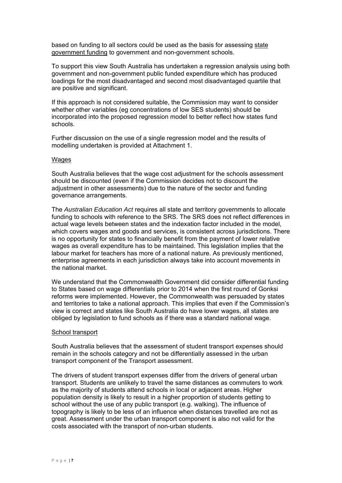based on funding to all sectors could be used as the basis for assessing state government funding to government and non-government schools.

To support this view South Australia has undertaken a regression analysis using both government and non-government public funded expenditure which has produced loadings for the most disadvantaged and second most disadvantaged quartile that are positive and significant.

If this approach is not considered suitable, the Commission may want to consider whether other variables (eg concentrations of low SES students) should be incorporated into the proposed regression model to better reflect how states fund schools.

Further discussion on the use of a single regression model and the results of modelling undertaken is provided at Attachment 1.

#### Wages

South Australia believes that the wage cost adjustment for the schools assessment should be discounted (even if the Commission decides not to discount the adjustment in other assessments) due to the nature of the sector and funding governance arrangements.

The *Australian Education Act* requires all state and territory governments to allocate funding to schools with reference to the SRS. The SRS does not reflect differences in actual wage levels between states and the indexation factor included in the model, which covers wages and goods and services, is consistent across jurisdictions. There is no opportunity for states to financially benefit from the payment of lower relative wages as overall expenditure has to be maintained. This legislation implies that the labour market for teachers has more of a national nature. As previously mentioned, enterprise agreements in each jurisdiction always take into account movements in the national market.

We understand that the Commonwealth Government did consider differential funding to States based on wage differentials prior to 2014 when the first round of Gonksi reforms were implemented. However, the Commonwealth was persuaded by states and territories to take a national approach. This implies that even if the Commission's view is correct and states like South Australia do have lower wages, all states are obliged by legislation to fund schools as if there was a standard national wage.

#### School transport

South Australia believes that the assessment of student transport expenses should remain in the schools category and not be differentially assessed in the urban transport component of the Transport assessment.

The drivers of student transport expenses differ from the drivers of general urban transport. Students are unlikely to travel the same distances as commuters to work as the majority of students attend schools in local or adjacent areas. Higher population density is likely to result in a higher proportion of students getting to school without the use of any public transport (e.g. walking). The influence of topography is likely to be less of an influence when distances travelled are not as great. Assessment under the urban transport component is also not valid for the costs associated with the transport of non-urban students.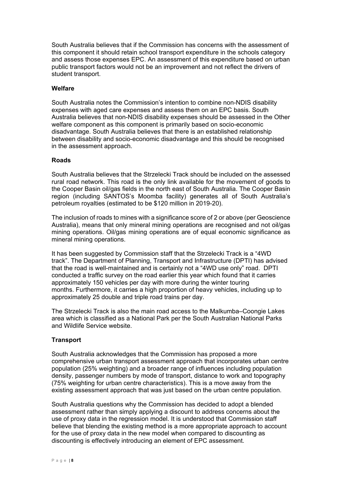South Australia believes that if the Commission has concerns with the assessment of this component it should retain school transport expenditure in the schools category and assess those expenses EPC. An assessment of this expenditure based on urban public transport factors would not be an improvement and not reflect the drivers of student transport.

## **Welfare**

South Australia notes the Commission's intention to combine non-NDIS disability expenses with aged care expenses and assess them on an EPC basis. South Australia believes that non-NDIS disability expenses should be assessed in the Other welfare component as this component is primarily based on socio-economic disadvantage. South Australia believes that there is an established relationship between disability and socio-economic disadvantage and this should be recognised in the assessment approach.

### **Roads**

South Australia believes that the Strzelecki Track should be included on the assessed rural road network. This road is the only link available for the movement of goods to the Cooper Basin oil/gas fields in the north east of South Australia. The Cooper Basin region (including SANTOS's Moomba facility) generates all of South Australia's petroleum royalties (estimated to be \$120 million in 2019-20).

The inclusion of roads to mines with a significance score of 2 or above (per Geoscience Australia), means that only mineral mining operations are recognised and not oil/gas mining operations. Oil/gas mining operations are of equal economic significance as mineral mining operations.

It has been suggested by Commission staff that the Strzelecki Track is a "4WD track". The Department of Planning, Transport and Infrastructure (DPTI) has advised that the road is well-maintained and is certainly not a "4WD use only" road. DPTI conducted a traffic survey on the road earlier this year which found that it carries approximately 150 vehicles per day with more during the winter touring months. Furthermore, it carries a high proportion of heavy vehicles, including up to approximately 25 double and triple road trains per day.

The Strzelecki Track is also the main road access to the Malkumba–Coongie Lakes area which is classified as a National Park per the South Australian National Parks and Wildlife Service website.

## **Transport**

South Australia acknowledges that the Commission has proposed a more comprehensive urban transport assessment approach that incorporates urban centre population (25% weighting) and a broader range of influences including population density, passenger numbers by mode of transport, distance to work and topography (75% weighting for urban centre characteristics). This is a move away from the existing assessment approach that was just based on the urban centre population.

South Australia questions why the Commission has decided to adopt a blended assessment rather than simply applying a discount to address concerns about the use of proxy data in the regression model. It is understood that Commission staff believe that blending the existing method is a more appropriate approach to account for the use of proxy data in the new model when compared to discounting as discounting is effectively introducing an element of EPC assessment.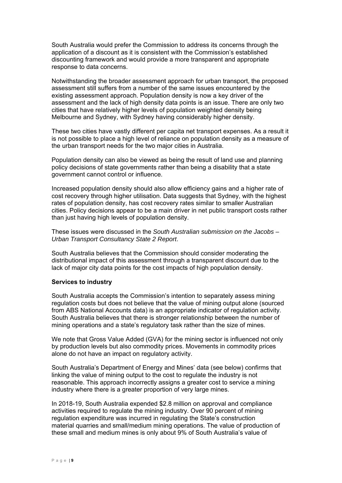South Australia would prefer the Commission to address its concerns through the application of a discount as it is consistent with the Commission's established discounting framework and would provide a more transparent and appropriate response to data concerns.

Notwithstanding the broader assessment approach for urban transport, the proposed assessment still suffers from a number of the same issues encountered by the existing assessment approach. Population density is now a key driver of the assessment and the lack of high density data points is an issue. There are only two cities that have relatively higher levels of population weighted density being Melbourne and Sydney, with Sydney having considerably higher density.

These two cities have vastly different per capita net transport expenses. As a result it is not possible to place a high level of reliance on population density as a measure of the urban transport needs for the two major cities in Australia.

Population density can also be viewed as being the result of land use and planning policy decisions of state governments rather than being a disability that a state government cannot control or influence.

Increased population density should also allow efficiency gains and a higher rate of cost recovery through higher utilisation. Data suggests that Sydney, with the highest rates of population density, has cost recovery rates similar to smaller Australian cities. Policy decisions appear to be a main driver in net public transport costs rather than just having high levels of population density.

These issues were discussed in the *South Australian submission on the Jacobs – Urban Transport Consultancy State 2 Report*.

South Australia believes that the Commission should consider moderating the distributional impact of this assessment through a transparent discount due to the lack of major city data points for the cost impacts of high population density.

#### **Services to industry**

South Australia accepts the Commission's intention to separately assess mining regulation costs but does not believe that the value of mining output alone (sourced from ABS National Accounts data) is an appropriate indicator of regulation activity. South Australia believes that there is stronger relationship between the number of mining operations and a state's regulatory task rather than the size of mines.

We note that Gross Value Added (GVA) for the mining sector is influenced not only by production levels but also commodity prices. Movements in commodity prices alone do not have an impact on regulatory activity.

South Australia's Department of Energy and Mines' data (see below) confirms that linking the value of mining output to the cost to regulate the industry is not reasonable. This approach incorrectly assigns a greater cost to service a mining industry where there is a greater proportion of very large mines.

In 2018-19, South Australia expended \$2.8 million on approval and compliance activities required to regulate the mining industry. Over 90 percent of mining regulation expenditure was incurred in regulating the State's construction material quarries and small/medium mining operations. The value of production of these small and medium mines is only about 9% of South Australia's value of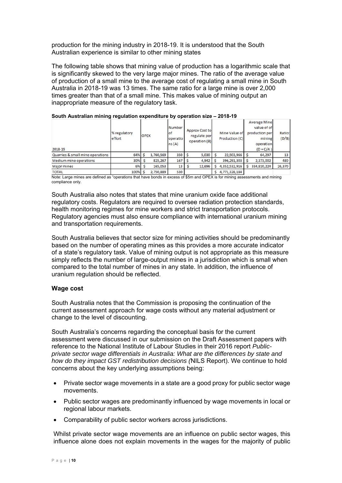production for the mining industry in 2018-19. It is understood that the South Australian experience is similar to other mining states

The following table shows that mining value of production has a logarithmic scale that is significantly skewed to the very large major mines. The ratio of the average value of production of a small mine to the average cost of regulating a small mine in South Australia in 2018-19 was 13 times. The same ratio for a large mine is over 2,000 times greater than that of a small mine. This makes value of mining output an inappropriate measure of the regulatory task.

| 2018-19                          | % regulatory<br>effort | <b>OPEX</b> |           | Number<br>lof<br>operatio<br>ns(A) | Approx Cost to<br>regulate per<br>operation (B) | Mine Value of<br>Production (C) | <b>Average Mine</b><br>value of of<br>production per<br>mining<br>operation<br>$(D = C/A)$ | Ratio:<br>(D/B) |
|----------------------------------|------------------------|-------------|-----------|------------------------------------|-------------------------------------------------|---------------------------------|--------------------------------------------------------------------------------------------|-----------------|
| Quarries & small mine operations | 64%                    |             | 1,760,569 | 350                                | 5,030                                           | 22,503,966                      | 64,297                                                                                     | 13              |
| Medium mine operations           | 30%                    |             | 825,267   | 167                                | 4,942                                           | 396,291,303                     | 2,373,002                                                                                  | 480             |
| Major mines                      | 6%                     |             | 165,053   | 13                                 | 12,696                                          | 4,352,532,916                   | 334,810,224                                                                                | 26,370          |
| <b>TOTAL</b>                     | 100%                   |             | 2,750,889 | 530                                |                                                 | 4,771,328,184                   |                                                                                            |                 |

|  |  | South Australian mining regulation expenditure by operation size - 2018-19 |  |  |
|--|--|----------------------------------------------------------------------------|--|--|
|  |  |                                                                            |  |  |

Note: Large mines are defined as "operations that have bonds in excess of \$5m and OPEX is for mining assessments and mining compliance only.

South Australia also notes that states that mine uranium oxide face additional regulatory costs. Regulators are required to oversee radiation protection standards, health monitoring regimes for mine workers and strict transportation protocols. Regulatory agencies must also ensure compliance with international uranium mining and transportation requirements.

South Australia believes that sector size for mining activities should be predominantly based on the number of operating mines as this provides a more accurate indicator of a state's regulatory task. Value of mining output is not appropriate as this measure simply reflects the number of large-output mines in a jurisdiction which is small when compared to the total number of mines in any state. In addition, the influence of uranium regulation should be reflected.

## **Wage cost**

South Australia notes that the Commission is proposing the continuation of the current assessment approach for wage costs without any material adjustment or change to the level of discounting.

South Australia's concerns regarding the conceptual basis for the current assessment were discussed in our submission on the Draft Assessment papers with reference to the National Institute of Labour Studies in their 2016 report *Publicprivate sector wage differentials in Australia: What are the differences by state and how do they impact GST redistribution decisions (*NILS Report). We continue to hold concerns about the key underlying assumptions being:

- Private sector wage movements in a state are a good proxy for public sector wage movements.
- Public sector wages are predominantly influenced by wage movements in local or regional labour markets.
- Comparability of public sector workers across jurisdictions.

Whilst private sector wage movements are an influence on public sector wages, this influence alone does not explain movements in the wages for the majority of public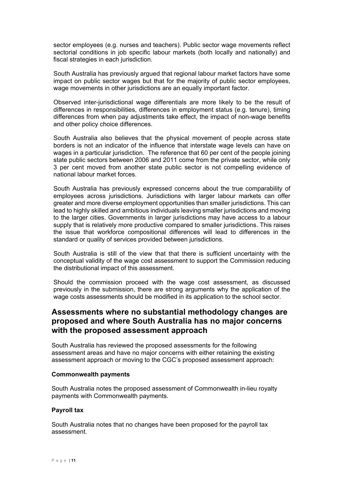sector employees (e.g. nurses and teachers). Public sector wage movements reflect sectorial conditions in job specific labour markets (both locally and nationally) and fiscal strategies in each jurisdiction.

South Australia has previously argued that regional labour market factors have some impact on public sector wages but that for the majority of public sector employees, wage movements in other jurisdictions are an equally important factor.

Observed inter-jurisdictional wage differentials are more likely to be the result of differences in responsibilities, differences in employment status (e.g. tenure), timing differences from when pay adjustments take effect, the impact of non-wage benefits and other policy choice differences.

South Australia also believes that the physical movement of people across state borders is not an indicator of the influence that interstate wage levels can have on wages in a particular jurisdiction. The reference that 60 per cent of the people joining state public sectors between 2006 and 2011 come from the private sector, while only 3 per cent moved from another state public sector is not compelling evidence of national labour market forces.

South Australia has previously expressed concerns about the true comparability of employees across jurisdictions. Jurisdictions with larger labour markets can offer greater and more diverse employment opportunities than smaller jurisdictions. This can lead to highly skilled and ambitious individuals leaving smaller jurisdictions and moving to the larger cities. Governments in larger jurisdictions may have access to a labour supply that is relatively more productive compared to smaller jurisdictions. This raises the issue that workforce compositional differences will lead to differences in the standard or quality of services provided between jurisdictions.

South Australia is still of the view that that there is sufficient uncertainty with the conceptual validity of the wage cost assessment to support the Commission reducing the distributional impact of this assessment.

Should the commission proceed with the wage cost assessment, as discussed previously in the submission, there are strong arguments why the application of the wage costs assessments should be modified in its application to the school sector.

# **Assessments where no substantial methodology changes are proposed and where South Australia has no major concerns with the proposed assessment approach**

South Australia has reviewed the proposed assessments for the following assessment areas and have no major concerns with either retaining the existing assessment approach or moving to the CGC's proposed assessment approach:

#### **Commonwealth payments**

South Australia notes the proposed assessment of Commonwealth in-lieu royalty payments with Commonwealth payments.

#### **Payroll tax**

South Australia notes that no changes have been proposed for the payroll tax assessment.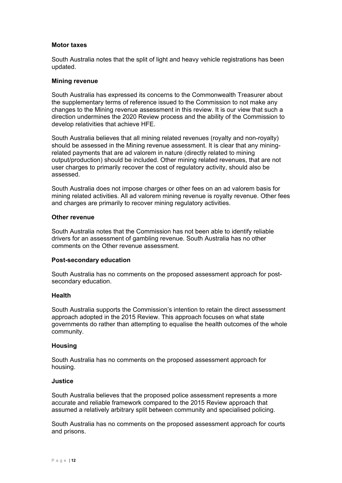#### **Motor taxes**

South Australia notes that the split of light and heavy vehicle registrations has been updated.

#### **Mining revenue**

South Australia has expressed its concerns to the Commonwealth Treasurer about the supplementary terms of reference issued to the Commission to not make any changes to the Mining revenue assessment in this review. It is our view that such a direction undermines the 2020 Review process and the ability of the Commission to develop relativities that achieve HFE.

South Australia believes that all mining related revenues (royalty and non-royalty) should be assessed in the Mining revenue assessment. It is clear that any miningrelated payments that are ad valorem in nature (directly related to mining output/production) should be included. Other mining related revenues, that are not user charges to primarily recover the cost of regulatory activity, should also be assessed.

South Australia does not impose charges or other fees on an ad valorem basis for mining related activities. All ad valorem mining revenue is royalty revenue. Other fees and charges are primarily to recover mining regulatory activities.

#### **Other revenue**

South Australia notes that the Commission has not been able to identify reliable drivers for an assessment of gambling revenue. South Australia has no other comments on the Other revenue assessment.

#### **Post-secondary education**

South Australia has no comments on the proposed assessment approach for postsecondary education.

#### **Health**

South Australia supports the Commission's intention to retain the direct assessment approach adopted in the 2015 Review. This approach focuses on what state governments do rather than attempting to equalise the health outcomes of the whole community.

#### **Housing**

South Australia has no comments on the proposed assessment approach for housing.

#### **Justice**

South Australia believes that the proposed police assessment represents a more accurate and reliable framework compared to the 2015 Review approach that assumed a relatively arbitrary split between community and specialised policing.

South Australia has no comments on the proposed assessment approach for courts and prisons.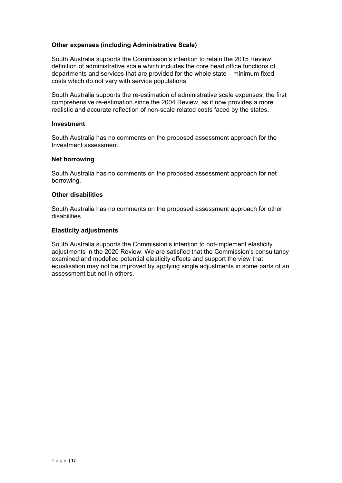### **Other expenses (including Administrative Scale)**

South Australia supports the Commission's intention to retain the 2015 Review definition of administrative scale which includes the core head office functions of departments and services that are provided for the whole state – minimum fixed costs which do not vary with service populations.

South Australia supports the re-estimation of administrative scale expenses, the first comprehensive re-estimation since the 2004 Review, as it now provides a more realistic and accurate reflection of non-scale related costs faced by the states.

#### **Investment**

South Australia has no comments on the proposed assessment approach for the Investment assessment.

#### **Net borrowing**

South Australia has no comments on the proposed assessment approach for net borrowing.

#### **Other disabilities**

South Australia has no comments on the proposed assessment approach for other disabilities.

#### **Elasticity adjustments**

South Australia supports the Commission's intention to not-implement elasticity adjustments in the 2020 Review. We are satisfied that the Commission's consultancy examined and modelled potential elasticity effects and support the view that equalisation may not be improved by applying single adjustments in some parts of an assessment but not in others.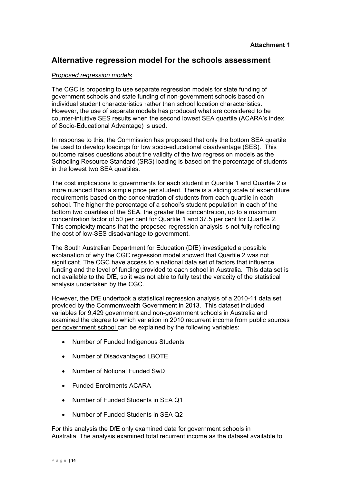# **Alternative regression model for the schools assessment**

### *Proposed regression models*

The CGC is proposing to use separate regression models for state funding of government schools and state funding of non-government schools based on individual student characteristics rather than school location characteristics. However, the use of separate models has produced what are considered to be counter-intuitive SES results when the second lowest SEA quartile (ACARA's index of Socio-Educational Advantage) is used.

In response to this, the Commission has proposed that only the bottom SEA quartile be used to develop loadings for low socio-educational disadvantage (SES). This outcome raises questions about the validity of the two regression models as the Schooling Resource Standard (SRS) loading is based on the percentage of students in the lowest two SEA quartiles.

The cost implications to governments for each student in Quartile 1 and Quartile 2 is more nuanced than a simple price per student. There is a sliding scale of expenditure requirements based on the concentration of students from each quartile in each school. The higher the percentage of a school's student population in each of the bottom two quartiles of the SEA, the greater the concentration, up to a maximum concentration factor of 50 per cent for Quartile 1 and 37.5 per cent for Quartile 2. This complexity means that the proposed regression analysis is not fully reflecting the cost of low-SES disadvantage to government.

The South Australian Department for Education (DfE) investigated a possible explanation of why the CGC regression model showed that Quartile 2 was not significant. The CGC have access to a national data set of factors that influence funding and the level of funding provided to each school in Australia. This data set is not available to the DfE, so it was not able to fully test the veracity of the statistical analysis undertaken by the CGC.

However, the DfE undertook a statistical regression analysis of a 2010-11 data set provided by the Commonwealth Government in 2013. This dataset included variables for 9,429 government and non-government schools in Australia and examined the degree to which variation in 2010 recurrent income from public sources per government school can be explained by the following variables:

- Number of Funded Indigenous Students
- Number of Disadvantaged LBOTE
- Number of Notional Funded SwD
- Funded Enrolments ACARA
- Number of Funded Students in SEA Q1
- Number of Funded Students in SEA Q2

For this analysis the DfE only examined data for government schools in Australia. The analysis examined total recurrent income as the dataset available to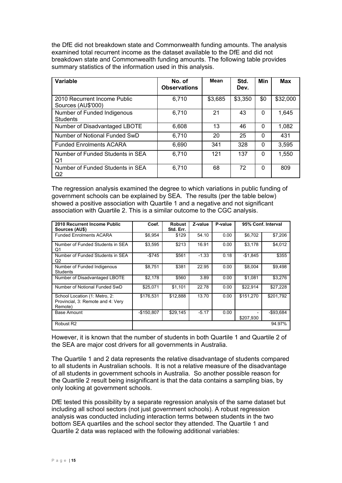the DfE did not breakdown state and Commonwealth funding amounts. The analysis examined total recurrent income as the dataset available to the DfE and did not breakdown state and Commonwealth funding amounts. The following table provides summary statistics of the information used in this analysis.

| Variable                                           | No. of<br><b>Observations</b> | <b>Mean</b> | Std.<br>Dev. | <b>Min</b> | <b>Max</b> |
|----------------------------------------------------|-------------------------------|-------------|--------------|------------|------------|
| 2010 Recurrent Income Public<br>Sources (AU\$'000) | 6,710                         | \$3,685     | \$3,350      | \$0        | \$32,000   |
| Number of Funded Indigenous<br><b>Students</b>     | 6,710                         | 21          | 43           | $\Omega$   | 1,645      |
| Number of Disadvantaged LBOTE                      | 6,608                         | 13          | 46           | $\Omega$   | 1,082      |
| Number of Notional Funded SwD                      | 6,710                         | 20          | 25           | $\Omega$   | 431        |
| <b>Funded Enrolments ACARA</b>                     | 6,690                         | 341         | 328          | $\Omega$   | 3,595      |
| Number of Funded Students in SEA<br>Q1             | 6,710                         | 121         | 137          | $\Omega$   | 1.550      |
| Number of Funded Students in SEA<br>Q2             | 6,710                         | 68          | 72           | 0          | 809        |

The regression analysis examined the degree to which variations in public funding of government schools can be explained by SEA. The results (per the table below) showed a positive association with Quartile 1 and a negative and not significant association with Quartile 2. This is a similar outcome to the CGC analysis.

| 2010 Recurrent Income Public<br>Sources (AU\$)                                | Coef.       | <b>Robust</b><br>Std. Err. | Z-value | P-value | 95% Conf. Interval |              |  |
|-------------------------------------------------------------------------------|-------------|----------------------------|---------|---------|--------------------|--------------|--|
| <b>Funded Enrolments ACARA</b>                                                | \$6,954     | \$129                      | 54.10   | 0.00    | \$6,702            | \$7,206      |  |
| Number of Funded Students in SEA<br>Q1                                        | \$3,595     | \$213                      | 16.91   | 0.00    | \$3,178            | \$4,012      |  |
| Number of Funded Students in SEA<br>Q2                                        | -\$745      | \$561                      | $-1.33$ | 0.18    | $-$1,845$          | \$355        |  |
| Number of Funded Indigenous<br>Students                                       | \$8,751     | \$381                      | 22.95   | 0.00    | \$8,004            | \$9,498      |  |
| Number of Disadvantaged LBOTE                                                 | \$2.178     | \$560                      | 3.89    | 0.00    | \$1,081            | \$3.276      |  |
| Number of Notional Funded SwD                                                 | \$25,071    | \$1,101                    | 22.78   | 0.00    | \$22,914           | \$27,228     |  |
| School Location (1: Metro, 2:<br>Provincial, 3: Remote and 4: Very<br>Remote) | \$176.531   | \$12,888                   | 13.70   | 0.00    | \$151,270          | \$201.792    |  |
| <b>Base Amount</b>                                                            | $-$150,807$ | \$29.145                   | $-5.17$ | 0.00    | \$207.930          | $-$ \$93.684 |  |
| Robust R <sub>2</sub>                                                         |             |                            |         |         |                    | 94.97%       |  |

However, it is known that the number of students in both Quartile 1 and Quartile 2 of the SEA are major cost drivers for all governments in Australia.

The Quartile 1 and 2 data represents the relative disadvantage of students compared to all students in Australian schools. It is not a relative measure of the disadvantage of all students in government schools in Australia. So another possible reason for the Quartile 2 result being insignificant is that the data contains a sampling bias, by only looking at government schools.

DfE tested this possibility by a separate regression analysis of the same dataset but including all school sectors (not just government schools). A robust regression analysis was conducted including interaction terms between students in the two bottom SEA quartiles and the school sector they attended. The Quartile 1 and Quartile 2 data was replaced with the following additional variables: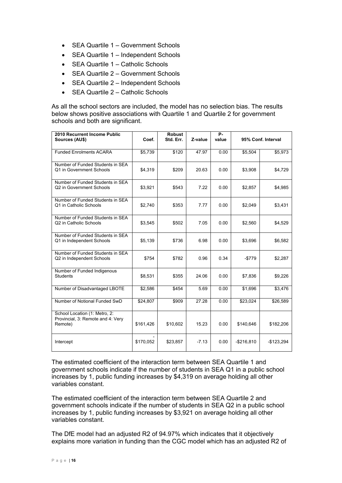- SEA Quartile 1 Government Schools
- SEA Quartile 1 Independent Schools
- SEA Quartile 1 Catholic Schools
- SEA Quartile 2 Government Schools
- SEA Quartile 2 Independent Schools
- SEA Quartile 2 Catholic Schools

As all the school sectors are included, the model has no selection bias. The results below shows positive associations with Quartile 1 and Quartile 2 for government schools and both are significant.

| 2010 Recurrent Income Public<br>Sources (AU\$)                                | Coef.     | <b>Robust</b><br>Std. Err. | Z-value | P-<br>value |             | 95% Conf. Interval |
|-------------------------------------------------------------------------------|-----------|----------------------------|---------|-------------|-------------|--------------------|
| <b>Funded Enrolments ACARA</b>                                                | \$5,739   | \$120                      | 47.97   | 0.00        | \$5,504     | \$5,973            |
| Number of Funded Students in SEA<br>Q1 in Government Schools                  | \$4,319   | \$209                      | 20.63   | 0.00        | \$3,908     | \$4,729            |
| Number of Funded Students in SEA<br>Q2 in Government Schools                  | \$3,921   | \$543                      | 7.22    | 0.00        | \$2,857     | \$4,985            |
| Number of Funded Students in SEA<br>Q1 in Catholic Schools                    | \$2,740   | \$353                      | 7.77    | 0.00        | \$2,049     | \$3,431            |
| Number of Funded Students in SEA<br>Q2 in Catholic Schools                    | \$3,545   | \$502                      | 7.05    | 0.00        | \$2,560     | \$4,529            |
| Number of Funded Students in SEA<br>Q1 in Independent Schools                 | \$5,139   | \$736                      | 6.98    | 0.00        | \$3,696     | \$6,582            |
| Number of Funded Students in SEA<br>Q2 in Independent Schools                 | \$754     | \$782                      | 0.96    | 0.34        | $-$779$     | \$2,287            |
| Number of Funded Indigenous<br><b>Students</b>                                | \$8,531   | \$355                      | 24.06   | 0.00        | \$7,836     | \$9,226            |
| Number of Disadvantaged LBOTE                                                 | \$2,586   | \$454                      | 5.69    | 0.00        | \$1,696     | \$3,476            |
| Number of Notional Funded SwD                                                 | \$24,807  | \$909                      | 27.28   | 0.00        | \$23,024    | \$26,589           |
| School Location (1: Metro, 2:<br>Provincial, 3: Remote and 4: Very<br>Remote) | \$161,426 | \$10,602                   | 15.23   | 0.00        | \$140,646   | \$182,206          |
| Intercept                                                                     | \$170,052 | \$23,857                   | $-7.13$ | 0.00        | $-$216,810$ | $-$123,294$        |

The estimated coefficient of the interaction term between SEA Quartile 1 and government schools indicate if the number of students in SEA Q1 in a public school increases by 1, public funding increases by \$4,319 on average holding all other variables constant.

The estimated coefficient of the interaction term between SEA Quartile 2 and government schools indicate if the number of students in SEA Q2 in a public school increases by 1, public funding increases by \$3,921 on average holding all other variables constant.

The DfE model had an adjusted R2 of 94.97% which indicates that it objectively explains more variation in funding than the CGC model which has an adjusted R2 of